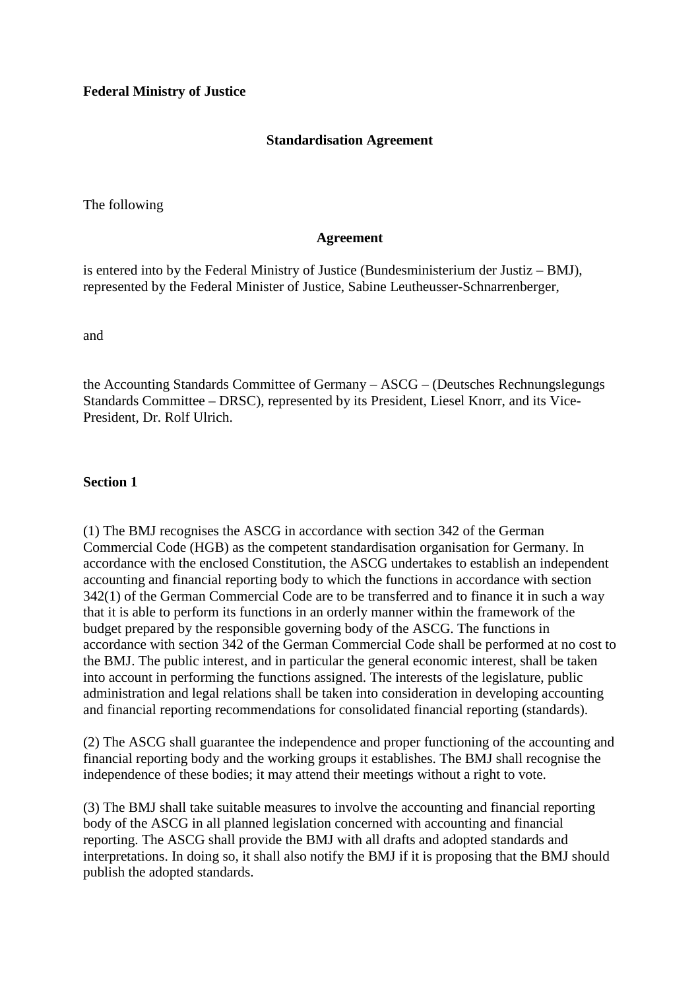# **Standardisation Agreement**

The following

#### **Agreement**

is entered into by the Federal Ministry of Justice (Bundesministerium der Justiz – BMJ), represented by the Federal Minister of Justice, Sabine Leutheusser-Schnarrenberger,

and

the Accounting Standards Committee of Germany – ASCG – (Deutsches Rechnungslegungs Standards Committee – DRSC), represented by its President, Liesel Knorr, and its Vice-President, Dr. Rolf Ulrich.

# **Section 1**

(1) The BMJ recognises the ASCG in accordance with section 342 of the German Commercial Code (HGB) as the competent standardisation organisation for Germany. In accordance with the enclosed Constitution, the ASCG undertakes to establish an independent accounting and financial reporting body to which the functions in accordance with section 342(1) of the German Commercial Code are to be transferred and to finance it in such a way that it is able to perform its functions in an orderly manner within the framework of the budget prepared by the responsible governing body of the ASCG. The functions in accordance with section 342 of the German Commercial Code shall be performed at no cost to the BMJ. The public interest, and in particular the general economic interest, shall be taken into account in performing the functions assigned. The interests of the legislature, public administration and legal relations shall be taken into consideration in developing accounting and financial reporting recommendations for consolidated financial reporting (standards).

(2) The ASCG shall guarantee the independence and proper functioning of the accounting and financial reporting body and the working groups it establishes. The BMJ shall recognise the independence of these bodies; it may attend their meetings without a right to vote.

(3) The BMJ shall take suitable measures to involve the accounting and financial reporting body of the ASCG in all planned legislation concerned with accounting and financial reporting. The ASCG shall provide the BMJ with all drafts and adopted standards and interpretations. In doing so, it shall also notify the BMJ if it is proposing that the BMJ should publish the adopted standards.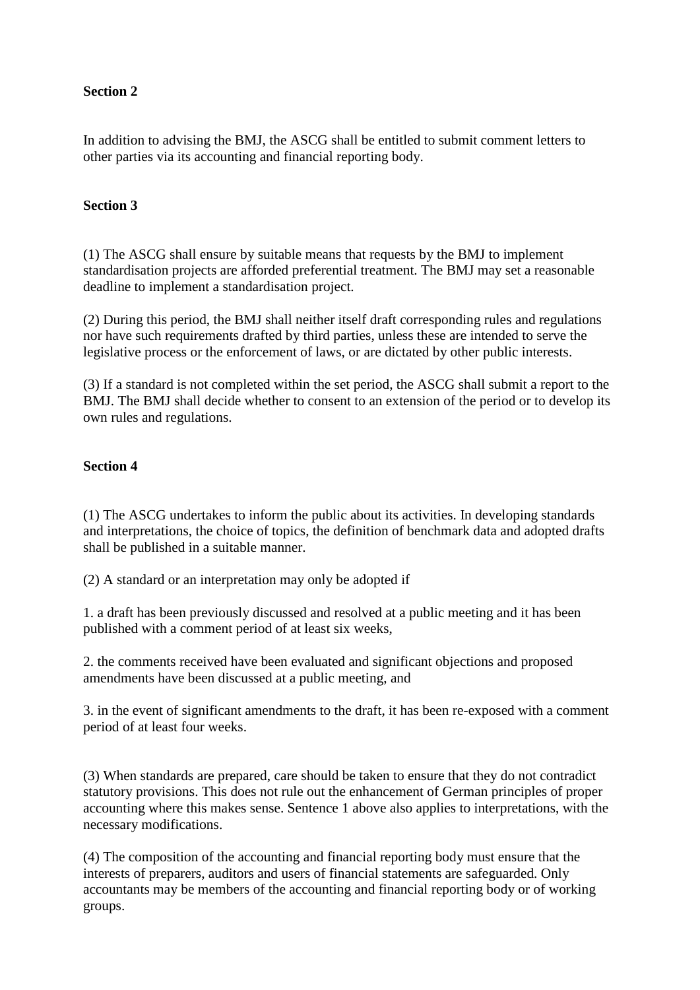# **Section 2**

In addition to advising the BMJ, the ASCG shall be entitled to submit comment letters to other parties via its accounting and financial reporting body.

# **Section 3**

(1) The ASCG shall ensure by suitable means that requests by the BMJ to implement standardisation projects are afforded preferential treatment. The BMJ may set a reasonable deadline to implement a standardisation project.

(2) During this period, the BMJ shall neither itself draft corresponding rules and regulations nor have such requirements drafted by third parties, unless these are intended to serve the legislative process or the enforcement of laws, or are dictated by other public interests.

(3) If a standard is not completed within the set period, the ASCG shall submit a report to the BMJ. The BMJ shall decide whether to consent to an extension of the period or to develop its own rules and regulations.

# **Section 4**

(1) The ASCG undertakes to inform the public about its activities. In developing standards and interpretations, the choice of topics, the definition of benchmark data and adopted drafts shall be published in a suitable manner.

(2) A standard or an interpretation may only be adopted if

1. a draft has been previously discussed and resolved at a public meeting and it has been published with a comment period of at least six weeks,

2. the comments received have been evaluated and significant objections and proposed amendments have been discussed at a public meeting, and

3. in the event of significant amendments to the draft, it has been re-exposed with a comment period of at least four weeks.

(3) When standards are prepared, care should be taken to ensure that they do not contradict statutory provisions. This does not rule out the enhancement of German principles of proper accounting where this makes sense. Sentence 1 above also applies to interpretations, with the necessary modifications.

(4) The composition of the accounting and financial reporting body must ensure that the interests of preparers, auditors and users of financial statements are safeguarded. Only accountants may be members of the accounting and financial reporting body or of working groups.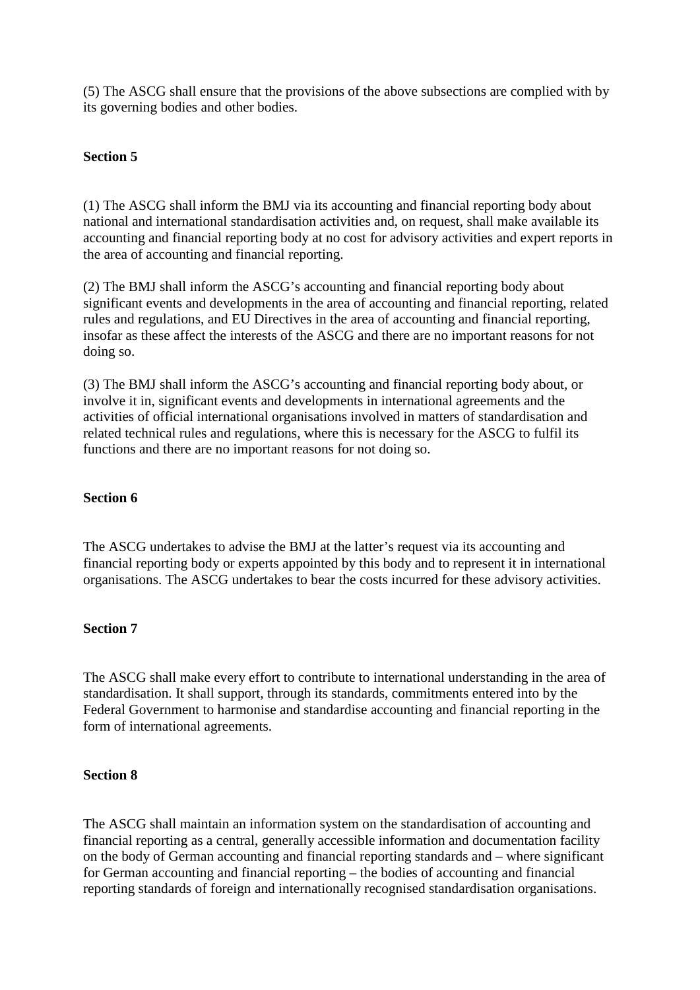(5) The ASCG shall ensure that the provisions of the above subsections are complied with by its governing bodies and other bodies.

# **Section 5**

(1) The ASCG shall inform the BMJ via its accounting and financial reporting body about national and international standardisation activities and, on request, shall make available its accounting and financial reporting body at no cost for advisory activities and expert reports in the area of accounting and financial reporting.

(2) The BMJ shall inform the ASCG's accounting and financial reporting body about significant events and developments in the area of accounting and financial reporting, related rules and regulations, and EU Directives in the area of accounting and financial reporting, insofar as these affect the interests of the ASCG and there are no important reasons for not doing so.

(3) The BMJ shall inform the ASCG's accounting and financial reporting body about, or involve it in, significant events and developments in international agreements and the activities of official international organisations involved in matters of standardisation and related technical rules and regulations, where this is necessary for the ASCG to fulfil its functions and there are no important reasons for not doing so.

#### **Section 6**

The ASCG undertakes to advise the BMJ at the latter's request via its accounting and financial reporting body or experts appointed by this body and to represent it in international organisations. The ASCG undertakes to bear the costs incurred for these advisory activities.

#### **Section 7**

The ASCG shall make every effort to contribute to international understanding in the area of standardisation. It shall support, through its standards, commitments entered into by the Federal Government to harmonise and standardise accounting and financial reporting in the form of international agreements.

#### **Section 8**

The ASCG shall maintain an information system on the standardisation of accounting and financial reporting as a central, generally accessible information and documentation facility on the body of German accounting and financial reporting standards and – where significant for German accounting and financial reporting – the bodies of accounting and financial reporting standards of foreign and internationally recognised standardisation organisations.